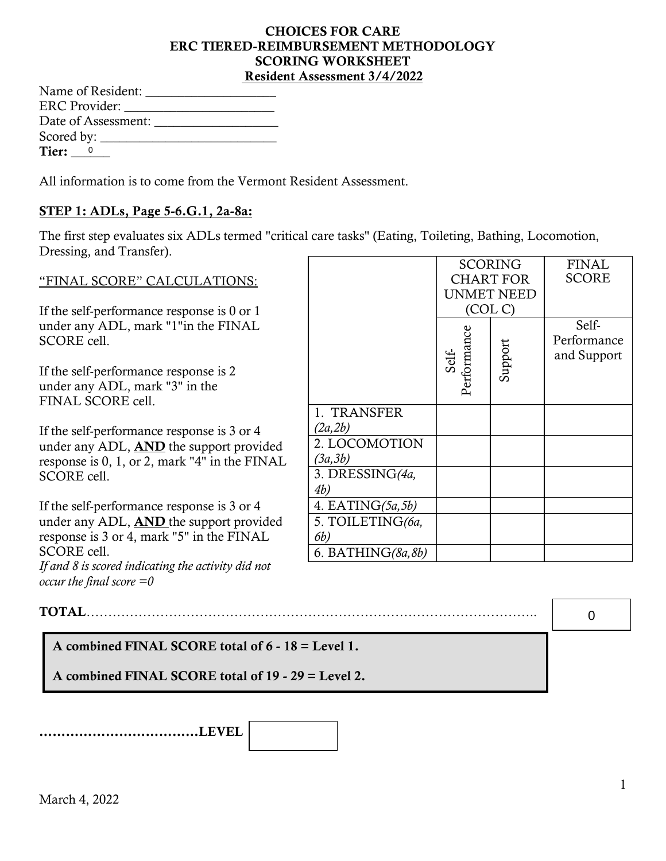#### **CHOICES FOR CARE ERC TIERED-REIMBURSEMENT METHODOLOGY SCORING WORKSHEET Resident Assessment** 3/4/2022

| Name of Resident:   |  |
|---------------------|--|
| ERC Provider:       |  |
| Date of Assessment: |  |
| Scored by:          |  |
| Tier: <sup>0</sup>  |  |

All information is to come from the Vermont Resident Assessment.

#### **STEP 1: ADLs, Page 5-6.G.1, 2a-8a:**

The first step evaluates six ADLs termed "critical care tasks" (Eating, Toileting, Bathing, Locomotion, Dressing, and Transfer).

|                                                |                       |                      | <b>SCORING</b>   | <b>FINAL</b> |
|------------------------------------------------|-----------------------|----------------------|------------------|--------------|
| "FINAL SCORE" CALCULATIONS:                    |                       |                      | <b>CHART FOR</b> | <b>SCORE</b> |
|                                                |                       | <b>UNMET NEED</b>    |                  |              |
| If the self-performance response is 0 or 1     |                       | (COL C)              |                  |              |
| under any ADL, mark "1"in the FINAL            |                       |                      |                  | Self-        |
| SCORE cell.                                    |                       |                      |                  | Performance  |
|                                                |                       | Performance<br>Self- | Support          | and Support  |
| If the self-performance response is 2          |                       |                      |                  |              |
| under any ADL, mark "3" in the                 |                       |                      |                  |              |
| FINAL SCORE cell.                              | 1. TRANSFER           |                      |                  |              |
|                                                |                       |                      |                  |              |
| If the self-performance response is 3 or 4     | (2a, 2b)              |                      |                  |              |
| under any ADL, AND the support provided        | 2. LOCOMOTION         |                      |                  |              |
| response is 0, 1, or 2, mark "4" in the FINAL  | (3a,3b)               |                      |                  |              |
| SCORE cell.                                    | 3. DRESSING(4a,       |                      |                  |              |
|                                                | 4b)                   |                      |                  |              |
| If the self-performance response is 3 or 4     | 4. EATING $(5a, 5b)$  |                      |                  |              |
| under any ADL, <b>AND</b> the support provided | 5. TOILETING(6a,      |                      |                  |              |
| response is 3 or 4, mark "5" in the FINAL      | 6 <i>b</i> )          |                      |                  |              |
| SCORE cell.                                    | 6. BATHING( $8a,8b$ ) |                      |                  |              |

**TOTAL**…………………………………………………………………………………………..

*If and 8 is scored indicating the activity did not occur the final score =0* 

0

## **A combined FINAL SCORE total of 6 - 18 = Level 1.**

**A combined FINAL SCORE total of 19 - 29 = Level 2.** 

**………………………………LEVEL**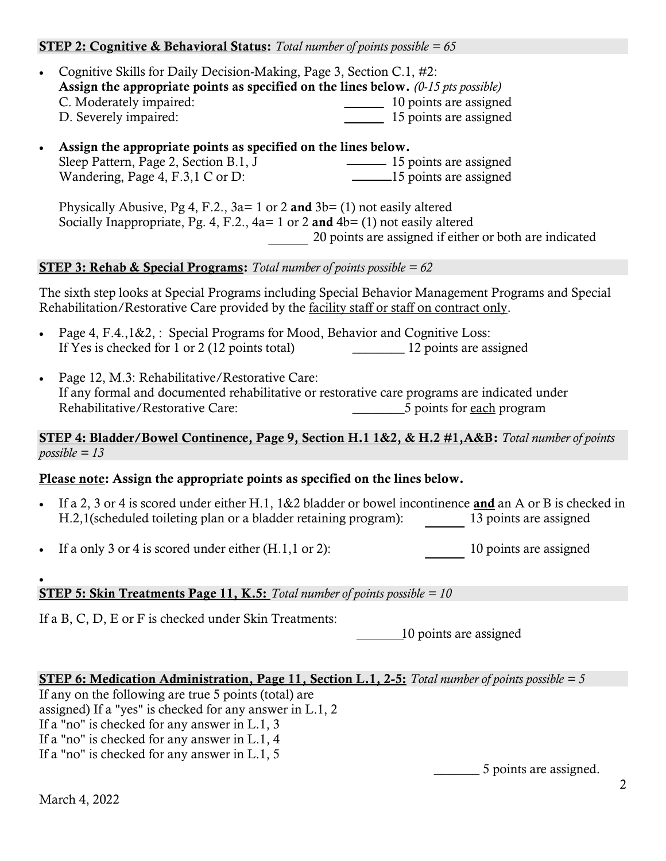#### **STEP 2: Cognitive & Behavioral Status:** *Total number of points possible = 65*

- Cognitive Skills for Daily Decision-Making, Page 3, Section C.1, #2: **Assign the appropriate points as specified on the lines below.** *(0-15 pts possible)* C. Moderately impaired: 10 points are assigned D. Severely impaired: 15 points are assigned
- **Assign the appropriate points as specified on the lines below.** Sleep Pattern, Page 2, Section B.1, J 15 points are assigned Wandering, Page 4, F.3,1 C or D: 15 points are assigned

Physically Abusive, Pg 4, F.2., 3a= 1 or 2 and 3b= (1) not easily altered Socially Inappropriate, Pg. 4, F.2., 4a= 1 or 2 **and** 4b= (1) not easily altered 20 points are assigned if either or both are indicated

#### **STEP 3: Rehab & Special Programs:** *Total number of points possible = 62*

The sixth step looks at Special Programs including Special Behavior Management Programs and Special Rehabilitation/Restorative Care provided by the <u>facility staff or staff on contract only</u>.

- Page 4, F.4.,1&2, : Special Programs for Mood, Behavior and Cognitive Loss: If Yes is checked for 1 or 2 (12 points total) \_\_\_\_\_\_\_\_ 12 points are assigned
- Page 12, M.3: Rehabilitative/Restorative Care: If any formal and documented rehabilitative or restorative care programs are indicated under Rehabilitative/Restorative Care: 5 points for each program

### **STEP 4: Bladder/Bowel Continence, Page 9, Section H.1 1&2, & H.2 #1,A&B:** *Total number of points possible = 13*

#### **Please note: Assign the appropriate points as specified on the lines below.**

- If a 2, 3 or 4 is scored under either H.1, 1&2 bladder or bowel incontinence **and** an A or B is checked in H.2,1(scheduled toileting plan or a bladder retaining program): 13 points are assigned
- If a only 3 or 4 is scored under either (H.1,1 or 2): 10 points are assigned

#### **STEP 5: Skin Treatments Page 11, K.5:** *Total number of points possible = 10*

If a B, C, D, E or F is checked under Skin Treatments:

10 points are assigned

#### **STEP 6: Medication Administration, Page 11, Section L.1, 2-5:** *Total number of points possible = 5*

If any on the following are true 5 points (total) are assigned) If a "yes" is checked for any answer in L.1, 2 If a "no" is checked for any answer in L.1, 3 If a "no" is checked for any answer in L.1, 4 If a "no" is checked for any answer in L.1, 5

\_\_\_\_\_\_\_ 5 points are assigned.

 $\bullet$